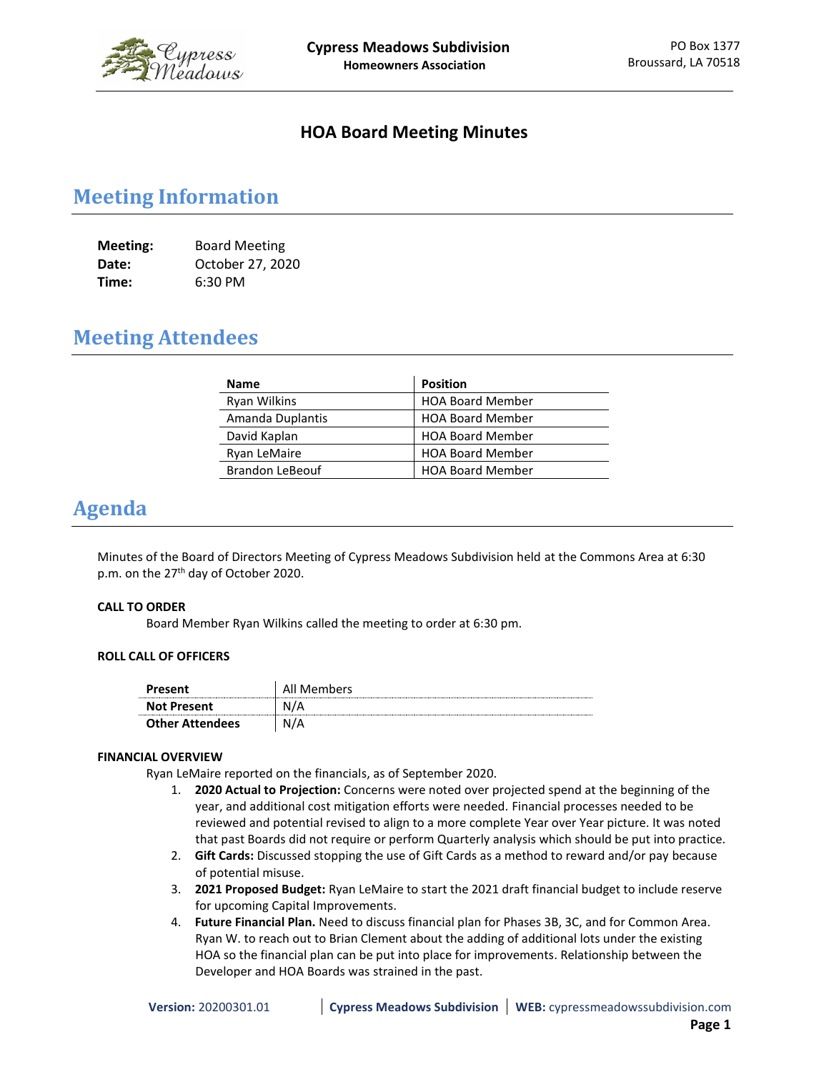

### **HOA Board Meeting Minutes**

# **Meeting Information**

| <b>Meeting:</b> | <b>Board Meeting</b> |
|-----------------|----------------------|
| Date:           | October 27, 2020     |
| Time:           | 6:30 PM              |

# **Meeting Attendees**

| <b>Name</b>            | <b>Position</b>         |
|------------------------|-------------------------|
| Ryan Wilkins           | <b>HOA Board Member</b> |
| Amanda Duplantis       | <b>HOA Board Member</b> |
| David Kaplan           | <b>HOA Board Member</b> |
| Ryan LeMaire           | <b>HOA Board Member</b> |
| <b>Brandon LeBeouf</b> | <b>HOA Board Member</b> |

### **Agenda**

Minutes of the Board of Directors Meeting of Cypress Meadows Subdivision held at the Commons Area at 6:30 p.m. on the 27<sup>th</sup> day of October 2020.

#### **CALL TO ORDER**

Board Member Ryan Wilkins called the meeting to order at 6:30 pm.

#### **ROLL CALL OF OFFICERS**

| Present                | All Members |
|------------------------|-------------|
| <b>Not Present</b>     | N/A         |
| <b>Other Attendees</b> | N/A         |

#### **FINANCIAL OVERVIEW**

Ryan LeMaire reported on the financials, as of September 2020.

- 1. **2020 Actual to Projection:** Concerns were noted over projected spend at the beginning of the year, and additional cost mitigation efforts were needed. Financial processes needed to be reviewed and potential revised to align to a more complete Year over Year picture. It was noted that past Boards did not require or perform Quarterly analysis which should be put into practice.
- 2. **Gift Cards:** Discussed stopping the use of Gift Cards as a method to reward and/or pay because of potential misuse.
- 3. **2021 Proposed Budget:** Ryan LeMaire to start the 2021 draft financial budget to include reserve for upcoming Capital Improvements.
- 4. **Future Financial Plan.** Need to discuss financial plan for Phases 3B, 3C, and for Common Area. Ryan W. to reach out to Brian Clement about the adding of additional lots under the existing HOA so the financial plan can be put into place for improvements. Relationship between the Developer and HOA Boards was strained in the past.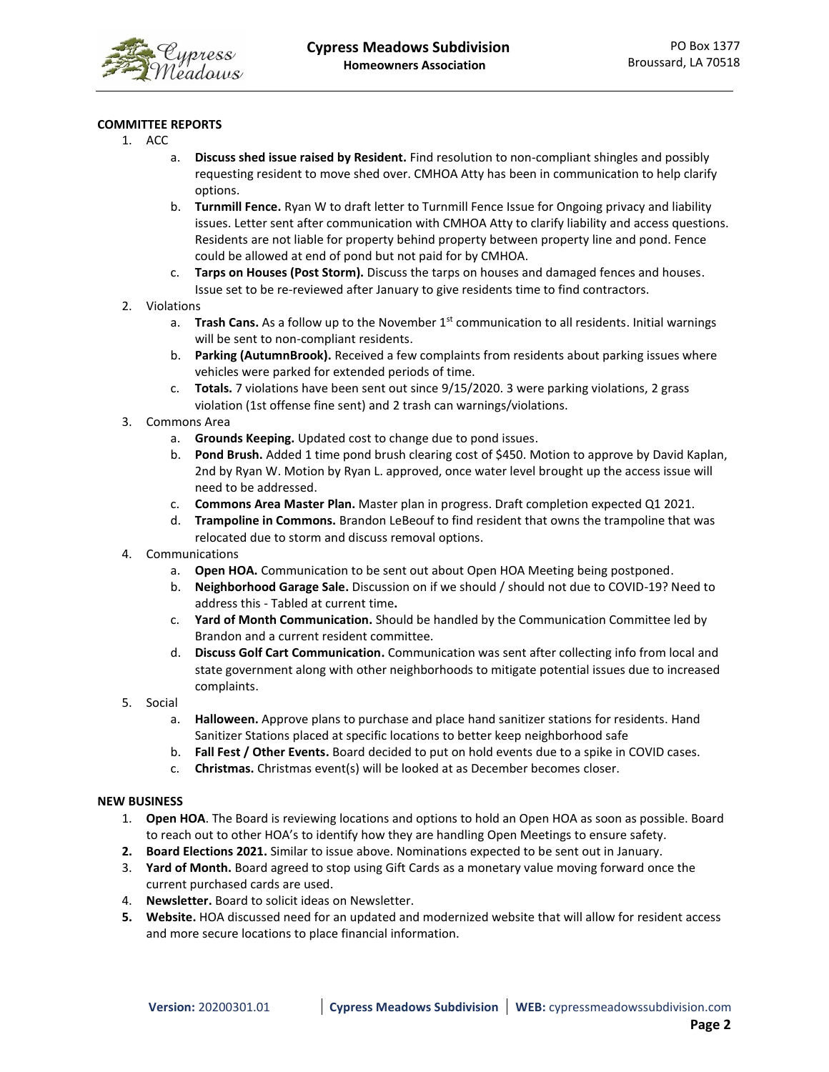

#### **COMMITTEE REPORTS**

- 1. ACC
	- a. **Discuss shed issue raised by Resident.** Find resolution to non-compliant shingles and possibly requesting resident to move shed over. CMHOA Atty has been in communication to help clarify options.
	- b. **Turnmill Fence.** Ryan W to draft letter to Turnmill Fence Issue for Ongoing privacy and liability issues. Letter sent after communication with CMHOA Atty to clarify liability and access questions. Residents are not liable for property behind property between property line and pond. Fence could be allowed at end of pond but not paid for by CMHOA.
	- c. **Tarps on Houses (Post Storm).** Discuss the tarps on houses and damaged fences and houses. Issue set to be re-reviewed after January to give residents time to find contractors.
- 2. Violations
	- a. **Trash Cans.** As a follow up to the November 1<sup>st</sup> communication to all residents. Initial warnings will be sent to non-compliant residents.
	- b. **Parking (AutumnBrook).** Received a few complaints from residents about parking issues where vehicles were parked for extended periods of time.
	- c. **Totals.** 7 violations have been sent out since 9/15/2020. 3 were parking violations, 2 grass violation (1st offense fine sent) and 2 trash can warnings/violations.
- 3. Commons Area
	- a. **Grounds Keeping.** Updated cost to change due to pond issues.
	- b. **Pond Brush.** Added 1 time pond brush clearing cost of \$450. Motion to approve by David Kaplan, 2nd by Ryan W. Motion by Ryan L. approved, once water level brought up the access issue will need to be addressed.
	- c. **Commons Area Master Plan.** Master plan in progress. Draft completion expected Q1 2021.
	- d. **Trampoline in Commons.** Brandon LeBeouf to find resident that owns the trampoline that was relocated due to storm and discuss removal options.
- 4. Communications
	- a. **Open HOA.** Communication to be sent out about Open HOA Meeting being postponed.
	- b. **Neighborhood Garage Sale.** Discussion on if we should / should not due to COVID-19? Need to address this - Tabled at current time**.**
	- c. **Yard of Month Communication.** Should be handled by the Communication Committee led by Brandon and a current resident committee.
	- d. **Discuss Golf Cart Communication.** Communication was sent after collecting info from local and state government along with other neighborhoods to mitigate potential issues due to increased complaints.
- 5. Social
	- a. **Halloween.** Approve plans to purchase and place hand sanitizer stations for residents. Hand Sanitizer Stations placed at specific locations to better keep neighborhood safe
	- b. **Fall Fest / Other Events.** Board decided to put on hold events due to a spike in COVID cases.
	- c. **Christmas.** Christmas event(s) will be looked at as December becomes closer.

#### **NEW BUSINESS**

- 1. **Open HOA**. The Board is reviewing locations and options to hold an Open HOA as soon as possible. Board to reach out to other HOA's to identify how they are handling Open Meetings to ensure safety.
- **2. Board Elections 2021.** Similar to issue above. Nominations expected to be sent out in January.
- 3. **Yard of Month.** Board agreed to stop using Gift Cards as a monetary value moving forward once the current purchased cards are used.
- 4. **Newsletter.** Board to solicit ideas on Newsletter.
- **5. Website.** HOA discussed need for an updated and modernized website that will allow for resident access and more secure locations to place financial information.